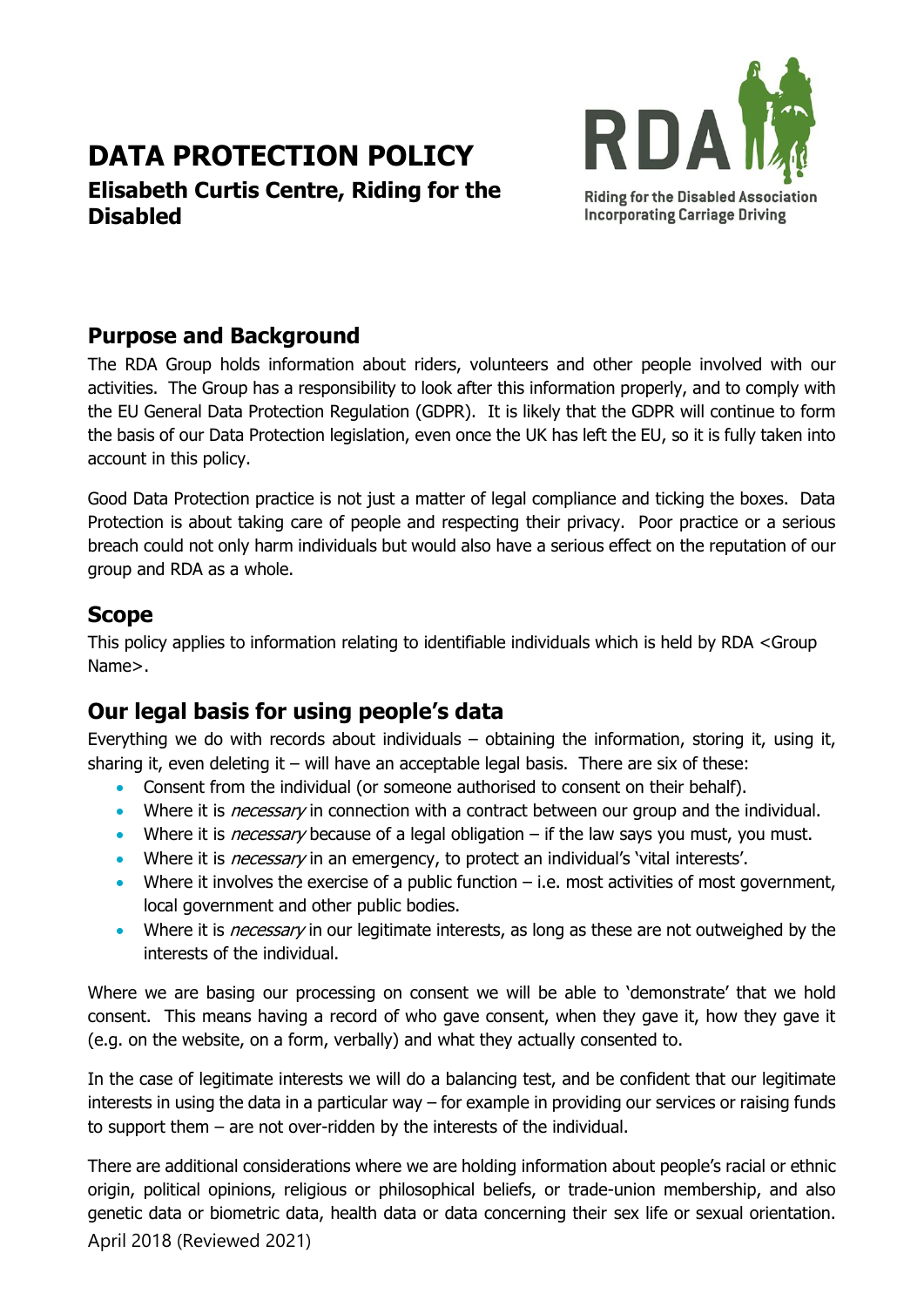# **DATA PROTECTION POLICY**

**Elisabeth Curtis Centre, Riding for the Disabled**



#### **Purpose and Background**

The RDA Group holds information about riders, volunteers and other people involved with our activities. The Group has a responsibility to look after this information properly, and to comply with the EU General Data Protection Regulation (GDPR). It is likely that the GDPR will continue to form the basis of our Data Protection legislation, even once the UK has left the EU, so it is fully taken into account in this policy.

Good Data Protection practice is not just a matter of legal compliance and ticking the boxes. Data Protection is about taking care of people and respecting their privacy. Poor practice or a serious breach could not only harm individuals but would also have a serious effect on the reputation of our group and RDA as a whole.

#### **Scope**

This policy applies to information relating to identifiable individuals which is held by RDA <Group Name>.

# **Our legal basis for using people's data**

Everything we do with records about individuals – obtaining the information, storing it, using it, sharing it, even deleting it – will have an acceptable legal basis. There are six of these:

- Consent from the individual (or someone authorised to consent on their behalf).
- Where it is *necessary* in connection with a contract between our group and the individual.
- Where it is *necessary* because of a legal obligation  $-$  if the law says you must, you must.
- Where it is *necessary* in an emergency, to protect an individual's 'vital interests'.
- Where it involves the exercise of a public function  $-$  i.e. most activities of most government, local government and other public bodies.
- Where it is *necessary* in our legitimate interests, as long as these are not outweighed by the interests of the individual.

Where we are basing our processing on consent we will be able to 'demonstrate' that we hold consent. This means having a record of who gave consent, when they gave it, how they gave it (e.g. on the website, on a form, verbally) and what they actually consented to.

In the case of legitimate interests we will do a balancing test, and be confident that our legitimate interests in using the data in a particular way – for example in providing our services or raising funds to support them – are not over-ridden by the interests of the individual.

April 2018 (Reviewed 2021) There are additional considerations where we are holding information about people's racial or ethnic origin, political opinions, religious or philosophical beliefs, or trade-union membership, and also genetic data or biometric data, health data or data concerning their sex life or sexual orientation.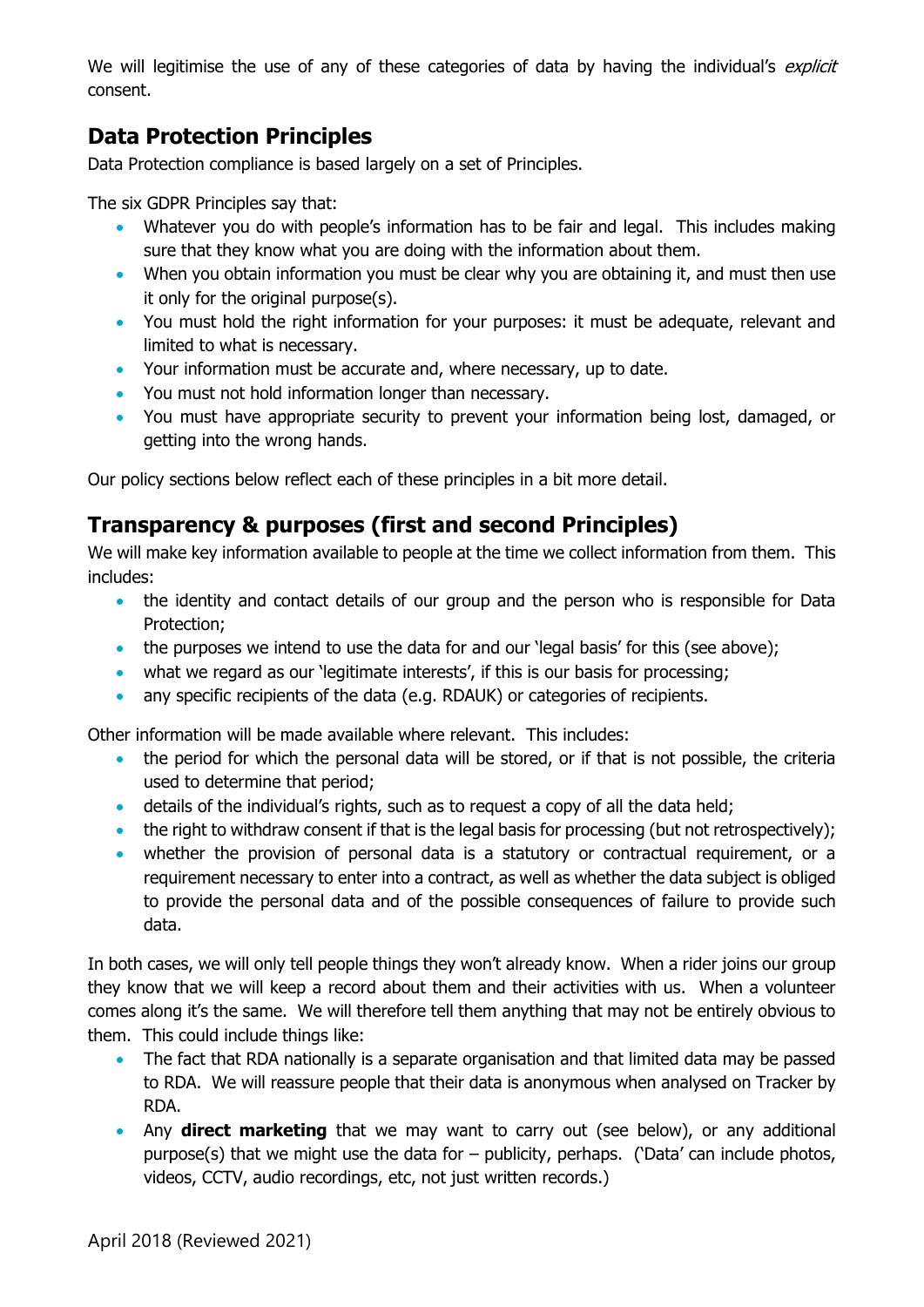We will legitimise the use of any of these categories of data by having the individual's explicit consent.

## **Data Protection Principles**

Data Protection compliance is based largely on a set of Principles.

The six GDPR Principles say that:

- Whatever you do with people's information has to be fair and legal. This includes making sure that they know what you are doing with the information about them.
- When you obtain information you must be clear why you are obtaining it, and must then use it only for the original purpose(s).
- You must hold the right information for your purposes: it must be adequate, relevant and limited to what is necessary.
- Your information must be accurate and, where necessary, up to date.
- You must not hold information longer than necessary.
- You must have appropriate security to prevent your information being lost, damaged, or getting into the wrong hands.

Our policy sections below reflect each of these principles in a bit more detail.

# **Transparency & purposes (first and second Principles)**

We will make key information available to people at the time we collect information from them. This includes:

- the identity and contact details of our group and the person who is responsible for Data Protection;
- the purposes we intend to use the data for and our 'legal basis' for this (see above);
- what we regard as our 'legitimate interests', if this is our basis for processing;
- any specific recipients of the data (e.g. RDAUK) or categories of recipients.

Other information will be made available where relevant. This includes:

- the period for which the personal data will be stored, or if that is not possible, the criteria used to determine that period;
- details of the individual's rights, such as to request a copy of all the data held;
- the right to withdraw consent if that is the legal basis for processing (but not retrospectively);
- whether the provision of personal data is a statutory or contractual requirement, or a requirement necessary to enter into a contract, as well as whether the data subject is obliged to provide the personal data and of the possible consequences of failure to provide such data.

In both cases, we will only tell people things they won't already know. When a rider joins our group they know that we will keep a record about them and their activities with us. When a volunteer comes along it's the same. We will therefore tell them anything that may not be entirely obvious to them. This could include things like:

- The fact that RDA nationally is a separate organisation and that limited data may be passed to RDA. We will reassure people that their data is anonymous when analysed on Tracker by RDA.
- Any **direct marketing** that we may want to carry out (see below), or any additional purpose(s) that we might use the data for – publicity, perhaps. ('Data' can include photos, videos, CCTV, audio recordings, etc, not just written records.)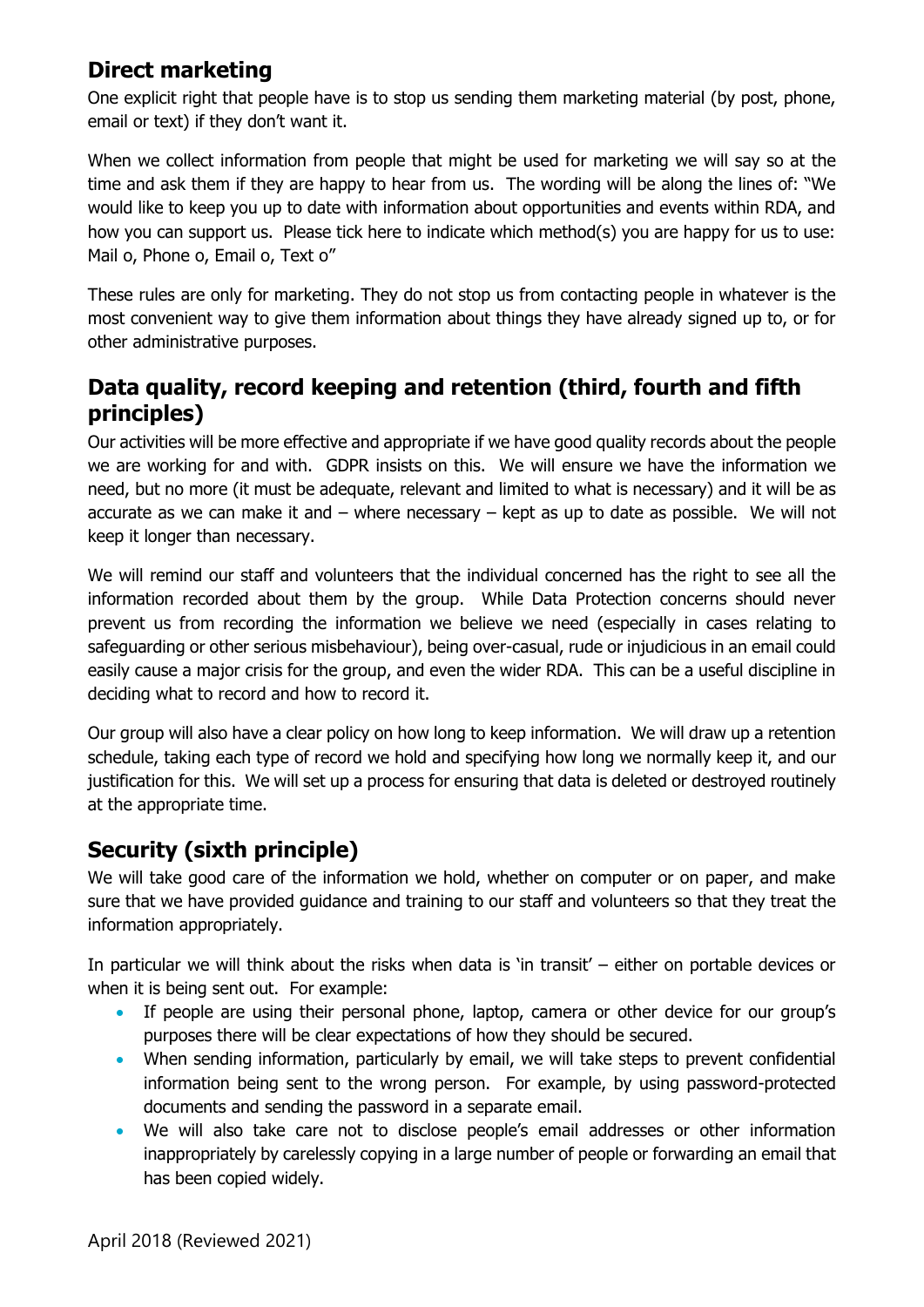## **Direct marketing**

One explicit right that people have is to stop us sending them marketing material (by post, phone, email or text) if they don't want it.

When we collect information from people that might be used for marketing we will say so at the time and ask them if they are happy to hear from us. The wording will be along the lines of: "We would like to keep you up to date with information about opportunities and events within RDA, and how you can support us. Please tick here to indicate which method(s) you are happy for us to use: Mail o, Phone o, Email o, Text o"

These rules are only for marketing. They do not stop us from contacting people in whatever is the most convenient way to give them information about things they have already signed up to, or for other administrative purposes.

### **Data quality, record keeping and retention (third, fourth and fifth principles)**

Our activities will be more effective and appropriate if we have good quality records about the people we are working for and with. GDPR insists on this. We will ensure we have the information we need, but no more (it must be adequate, relevant and limited to what is necessary) and it will be as accurate as we can make it and – where necessary – kept as up to date as possible. We will not keep it longer than necessary.

We will remind our staff and volunteers that the individual concerned has the right to see all the information recorded about them by the group. While Data Protection concerns should never prevent us from recording the information we believe we need (especially in cases relating to safeguarding or other serious misbehaviour), being over-casual, rude or injudicious in an email could easily cause a major crisis for the group, and even the wider RDA. This can be a useful discipline in deciding what to record and how to record it.

Our group will also have a clear policy on how long to keep information. We will draw up a retention schedule, taking each type of record we hold and specifying how long we normally keep it, and our justification for this. We will set up a process for ensuring that data is deleted or destroyed routinely at the appropriate time.

# **Security (sixth principle)**

We will take good care of the information we hold, whether on computer or on paper, and make sure that we have provided guidance and training to our staff and volunteers so that they treat the information appropriately.

In particular we will think about the risks when data is 'in transit' – either on portable devices or when it is being sent out. For example:

- If people are using their personal phone, laptop, camera or other device for our group's purposes there will be clear expectations of how they should be secured.
- When sending information, particularly by email, we will take steps to prevent confidential information being sent to the wrong person. For example, by using password-protected documents and sending the password in a separate email.
- We will also take care not to disclose people's email addresses or other information inappropriately by carelessly copying in a large number of people or forwarding an email that has been copied widely.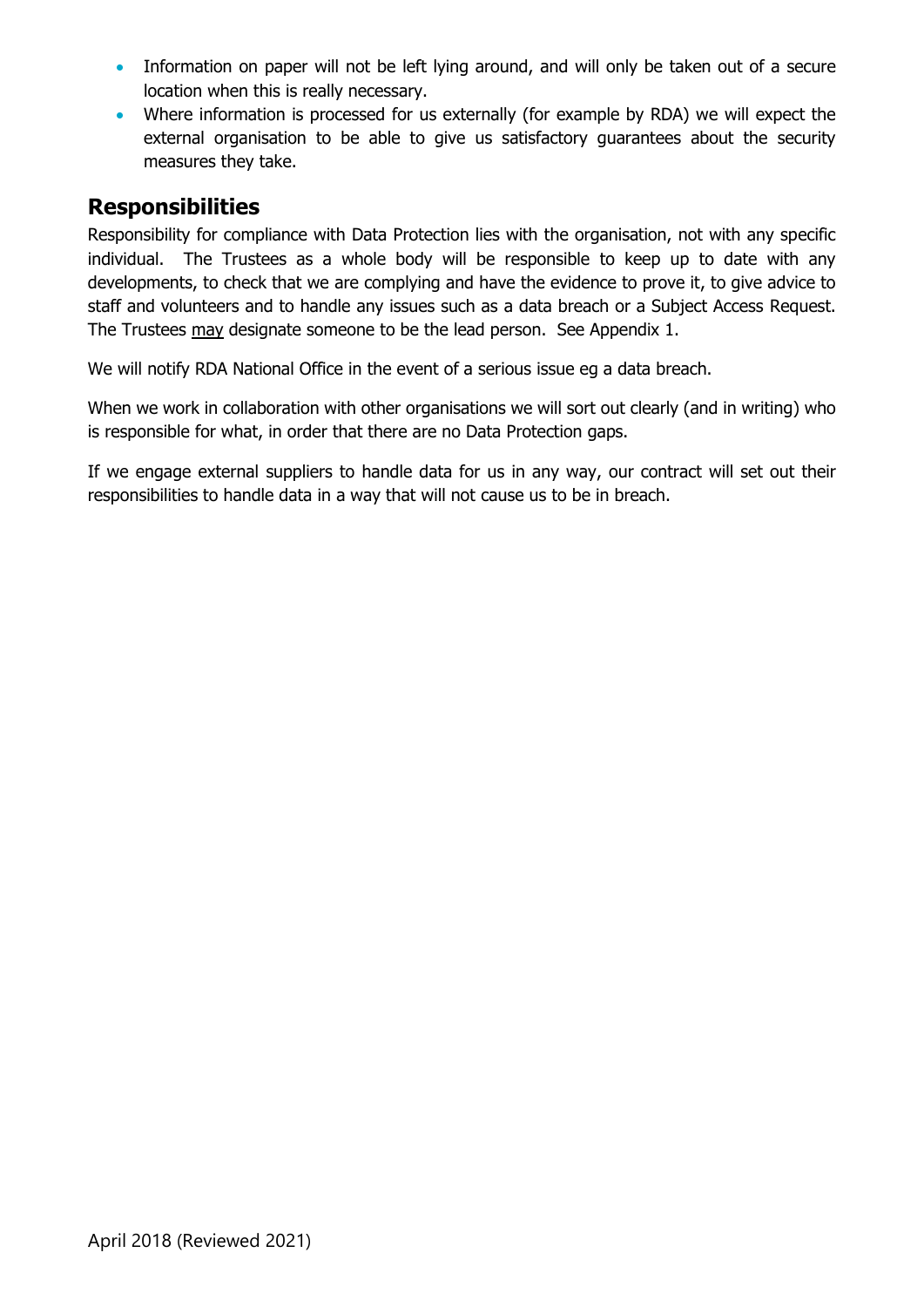- Information on paper will not be left lying around, and will only be taken out of a secure location when this is really necessary.
- Where information is processed for us externally (for example by RDA) we will expect the external organisation to be able to give us satisfactory guarantees about the security measures they take.

#### **Responsibilities**

Responsibility for compliance with Data Protection lies with the organisation, not with any specific individual. The Trustees as a whole body will be responsible to keep up to date with any developments, to check that we are complying and have the evidence to prove it, to give advice to staff and volunteers and to handle any issues such as a data breach or a Subject Access Request. The Trustees may designate someone to be the lead person. See Appendix 1.

We will notify RDA National Office in the event of a serious issue eg a data breach.

When we work in collaboration with other organisations we will sort out clearly (and in writing) who is responsible for what, in order that there are no Data Protection gaps.

If we engage external suppliers to handle data for us in any way, our contract will set out their responsibilities to handle data in a way that will not cause us to be in breach.